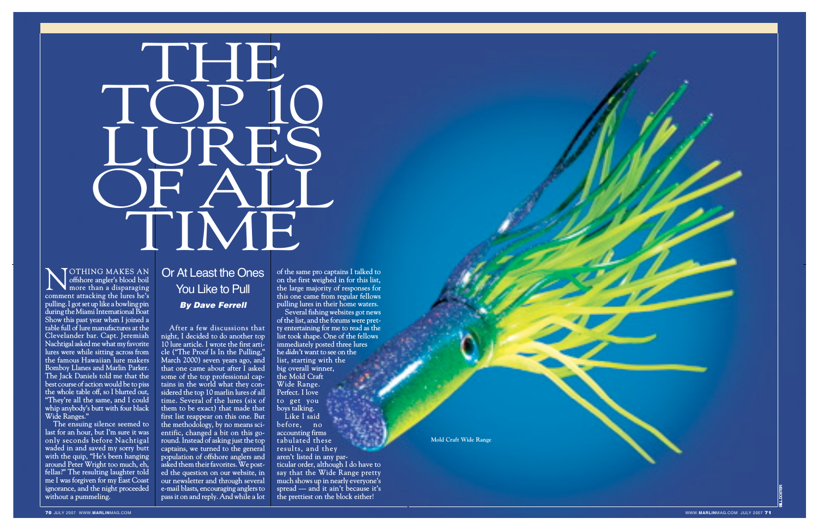

## **T** H E T, **C P**  $\frac{1}{1}$ 0 LU R HH<br>T SCF  $\sum_{\blacksquare}$ H **AL** L<br>L TIME

**c**<br>**comment** attacking the lures he's<br>comment attacking the lures he's **O T H I N G M A K E S A N offshore angler's b lood boi l m**ore than a disparaging **p u l l ing.I got set up l ike a b ow l ing p in during the M iam iInternati onal B oat Show this past year when I j oined a table ful l of lure man ufactures at the** Clevelander bar. Capt. Jeremiah **N achtigal aske d me what my favo r ite lures were while sitting across fro m the famous Hawaiian lure makers Bomboy Llanes and Marlin Parker. The Jack Danie l s told me that th e best course of action wou ld be to piss the whole table off, so I blurted out , "They 're all the same, and I could whip anybody's butt w ith four black Wide Ranges."**

 $\Gamma$ he ensuing silence seemed to **last for an hour, but I'm sure it was only seconds before Nachtigal** waded in and saved my sorry butt **with the quip, "He's been hanging around Peter Wright too much, eh, fellas?" The resulting laughter told me I was forgiven for my East Coast ignorance, and the night proceeded without a pummeling.**

After a few discussions that **night, I decided to do another top 10 lure article. I wrote the first arti cle ("The Proof Is In the Pulling, " Marc h 2000) seve n years ago, a n d that one came about after I asked** some of the top professional cap**tain s in th e world wh at th e y con sid ered the top 10 marlin lures of all** time. Several of the lures (six of **them** to be exact) that made that **first list r e appe a r on t his one . But the methodology, by no means sci entific, changed a bit on this goround. Instead of as king just the top capta ins, we turned to the genera l population of offshore anglers a n d asked them their favorites. We posted the question on our website, in our newsletter and through several e-mai l blasts , encouraging anglers to pass it on and reply. And while a lot**

## Or At Least the Ones You Like to Pull *By Dave Ferrell*

**of the same pro captains I talked to on the first weighed in for this list, the large majority of responses for this one came from regular fellows pulling lures in their home waters. Several fishing websites got news**

**of the list, and the forums were pretty entertaining for me to read as the list took shape. One of the fellows immediately posted three lures he** *d i d n ' t* **want to see on the** list, starting with the **big overall win ner , the Mold Craft Wide Range. Perfect. I love to get you boys talking. Like I sai d**

**b e f o r e , n o accounting firms tabulated thes e r**esults, and they **aren't listed in any particular order, although I do have to say that the Wide Range pretty much sh ows up in nearly e v eryone's spread — and it ain't because it's the prettiest on the block either!**

**Mold Craft Wide Range**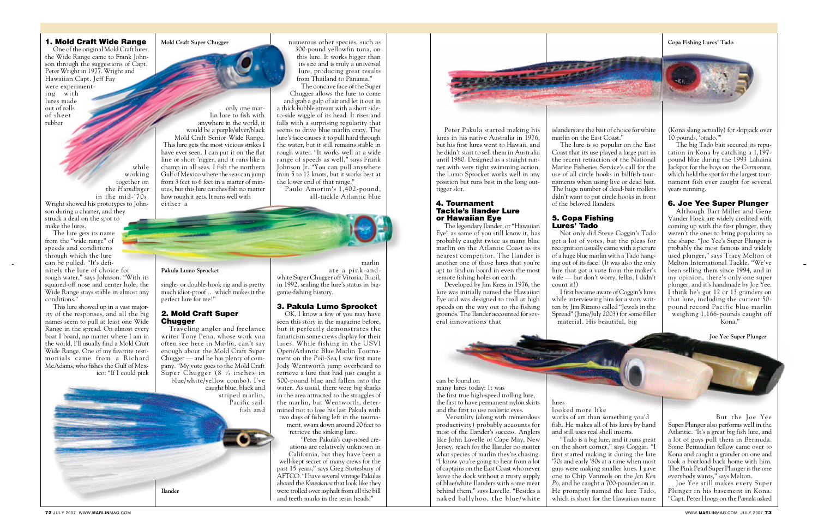#### 1. Mold Craft Wide Range

One of the original Mold Craft lures, the Wide Range came to Frank Johnson through the suggestions of Capt. Peter Wright in 1977. Wright and Hawaiian Capt. Jeff Fay were experimenting with lures made out of rolls of sheet rubber

while working together on the *Humdinger* in the mid-'70s. Wright showed his prototypes to John-

son during a charter, and they struck a deal on the spot to make the lures.

The lure gets its name from the "wide range" of speeds and conditions through which the lure can be pulled. "It's defi-

nitely the lure of choice for rough water," says Johnson. "With its squared-off nose and center hole, the Wide Range stays stable in almost any conditions."

#### 2. Mold Craft Super **Chugger**

This lure showed up in a vast majority of the responses, and all the big names seem to pull at least one Wide Range in the spread. On almost every boat I board, no matter where I am in the world, I'll usually find a Mold Craft Wide Range. One of my favorite testimonials came from a Richard McAdams, who fishes the Gulf of Mexico: "If I could pick

> striped marlin, Pacific sailfish and

only one marlin lure to fish with anywhere in the world, it would be a purple/silver/black Mold Craft Senior Wide Range. This lure gets the most vicious strikes I have ever seen. I can put it on the flat line or short 'rigger, and it runs like a champ in all seas. I fish the northern Gulf of Mexico where the seas can jump from 3 feet to 6 feet in a matter of minutes, but this lure catches fish no matter how rough it gets. It runs well with either a

> Kona and caught a grander on one and took a boatload back home with him. The Pink Pearl Super Plunger is the one everybody wants," says Melton.

> Joe Yee still makes every Super Plunger in his basement in Kona. "Capt. Peter Hoogs on the *Pamela* asked

single- or double-hook rig and is pretty much idiot-proof … which makes it the perfect lure for me!"

Traveling angler and freelance writer Tony Pena, whose work you often see here in *Marlin*, can't say enough about the Mold Craft Super Chugger — and he has plenty of company. "My vote goes to the Mold Craft Super Chugger (8 <sup>1</sup> ⁄4 inches in blue/white/yellow combo). I've caught blue, black and

Paulo Amorim's 1,402-pound, all-tackle Atlantic blue (Kona slang actually) for skipjack over 10 pounds, 'otado.'"

The big Tado bait secured its reputation in Kona by catching a 1,197 pound blue during the 1993 Lahaina Jackpot for the boys on the *Cormorant*, which held the spot for the largest tournament fish ever caught for several years running.

#### 6. Joe Yee Super Plunger

Although Bart Miller and Gene Vander Hoek are widely credited with coming up with the first plunger, they weren't the ones to bring popularity to the shape. "Joe Yee's Super Plunger is probably the most famous and widely used plunger," says Tracy Melton of Melton International Tackle. "We've been selling them since 1994, and in my opinion, there's only one super plunger, and it's handmade by Joe Yee. I think he's got 12 or 13 granders on that lure, including the current 50 pound record Pacific blue marlin weighing 1,166-pounds caught off Kona."

**COMPANY** Peter Pakula started making his lures in his native Australia in 1976,

But the Joe Yee

Super Plunger also performs well in the Atlantic. "It's a great big fish lure, and a lot of guys pull them in Bermuda. Some Bermudian fellow came over to

numerous other species, such as 300-pound yellowfin tuna, on this lure. It works bigger than its size and is truly a universal lure, producing great results from Thailand to Panama." The concave face of the Super

Chugger allows the lure to come and grab a gulp of air and let it out in a thick bubble stream with a short sideto-side wiggle of its head. It rises and falls with a surprising regularity that seems to drive blue marlin crazy. The lure's face causes it to pull hard through the water, but it still remains stable in rough water. "It works well at a wide range of speeds as well," says Frank Johnson Jr. "You can pull anywhere from 5 to 12 knots, but it works best at the lower end of that range."

> marlin ate a pink-and-

white Super Chugger off Vitoria, Brazil, in 1992, sealing the lure's status in biggame-fishing history.

#### 3. Pakula Lumo Sprocket

OK, I know a few of you may have seen this story in the magazine before, but it perfectly demonstrates the fanaticism some crews display for their lures. While fishing in the USVI Open/Atlantic Blue Marlin Tournament on the *Poli-Sea*, I saw first mate Jody Wentworth jump overboard to retrieve a lure that had just caught a 500-pound blue and fallen into the water. As usual, there were big sharks in the area attracted to the struggles of the marlin, but Wentworth, determined not to lose his last Pakula with two days of fishing left in the tournament, swam down around 20 feet to

> retrieve the sinking lure. "Peter Pakula's cup-nosed cre-

> ations are relatively unknown in California, but they have been a

well-kept secret of many crews for the past 15 years," says Greg Stotesbury of AFTCO."I have several vintage Pakulas aboard the *Kawakawa* that look like they were trolled over asphalt from all the bill and teeth marks in the resin heads!"

but his first lures went to Hawaii, and he didn't start to sell them in Australia until 1980. Designed as a straight runner with very tight swimming action, the Lumo Sprocket works well in any position but runs best in the long outrigger slot.

#### 4. Tournament Tackle's Ilander Lure or Hawaiian Eye

The legendary Ilander, or "Hawaiian Eye" as some of you still know it, has probably caught twice as many blue marlin on the Atlantic Coast as its nearest competitor. The Ilander is another one of those lures that you're apt to find on board in even the most remote fishing holes on earth.

Developed by Jim Kress in 1976, the lure was initially named the Hawaiian Eye and was designed to troll at high speeds on the way out to the fishing grounds. The Ilander accounted for several innovations that

can be found on

many lures today: It was the first true high-speed trolling lure, the first to have permanent nylon skirts and the first to use realistic eyes.

Versatility (along with tremendous productivity) probably accounts for most of the Ilander's success. Anglers like John Lavelle of Cape May, New Jersey, reach for the Ilander no matter what species of marlin they're chasing. "I know you're going to hear from a lot of captains on the East Coast who never leave the dock without a trusty supply of blue/white Ilanders with some meat behind them," says Lavelle. "Besides a naked ballyhoo, the blue/white

islanders are the bait of choice for white

marlin on the East Coast."

The lure is so popular on the East Coast that its use played a large part in the recent retraction of the National Marine Fisheries Service's call for the use of all circle hooks in billfish tournaments when using live or dead bait. The huge number of dead-bait trollers didn't want to put circle hooks in front

of the beloved Ilanders. 5. Copa Fishing

## Lures' Tado

Not only did Steve Coggin's Tado get a lot of votes, but the pleas for recognition usually came with a picture of a huge blue marlin with a Tado hanging out of its face! (It was also the only lure that got a vote from the maker's wife — but don't worry, fellas, I didn't

count it!)

I first became aware of Coggin's lures while interviewing him for a story written by Jim Rizzuto called "Jewels in the Spread" (June/July 2003) for some filler material. His beautiful, big

lures looked more like

works of art than something you'd

fish. He makes all of his lures by hand and still uses real shell inserts. "Tado is a big lure, and it runs great on the short corner," says Coggin. "I first started making it during the late '70s and early '80s at a time when most guys were making smaller lures. I gave one to Chip Vanmols on the *Jen Ken Po*, and he caught a 700-pounder on it. He promptly named the lure Tado, which is short for the Hawaiian name

#### **Mold Craft Super Chugger**

**Ilander**

#### **Pakula Lumo Sprocket**

#### **Copa Fishing Lures' Tado**



**Joe Yee Super Plunger**